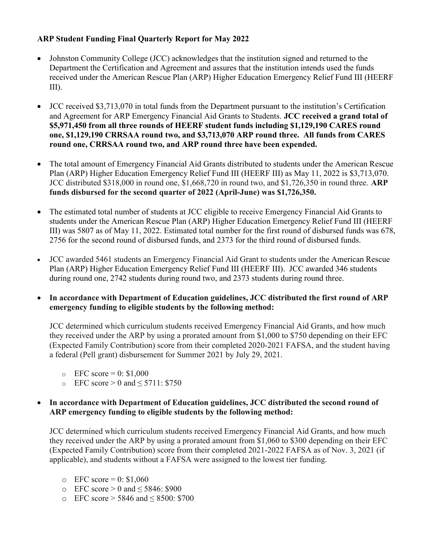## ARP Student Funding Final Quarterly Report for May 2022

- Johnston Community College (JCC) acknowledges that the institution signed and returned to the Department the Certification and Agreement and assures that the institution intends used the funds received under the American Rescue Plan (ARP) Higher Education Emergency Relief Fund III (HEERF III).
- JCC received \$3,713,070 in total funds from the Department pursuant to the institution's Certification and Agreement for ARP Emergency Financial Aid Grants to Students. JCC received a grand total of \$5,971,450 from all three rounds of HEERF student funds including \$1,129,190 CARES round one, \$1,129,190 CRRSAA round two, and \$3,713,070 ARP round three. All funds from CARES round one, CRRSAA round two, and ARP round three have been expended.
- The total amount of Emergency Financial Aid Grants distributed to students under the American Rescue Plan (ARP) Higher Education Emergency Relief Fund III (HEERF III) as May 11, 2022 is \$3,713,070. JCC distributed \$318,000 in round one, \$1,668,720 in round two, and \$1,726,350 in round three. ARP funds disbursed for the second quarter of 2022 (April-June) was \$1,726,350.
- The estimated total number of students at JCC eligible to receive Emergency Financial Aid Grants to students under the American Rescue Plan (ARP) Higher Education Emergency Relief Fund III (HEERF III) was 5807 as of May 11, 2022. Estimated total number for the first round of disbursed funds was 678, 2756 for the second round of disbursed funds, and 2373 for the third round of disbursed funds.
- JCC awarded 5461 students an Emergency Financial Aid Grant to students under the American Rescue Plan (ARP) Higher Education Emergency Relief Fund III (HEERF III). JCC awarded 346 students during round one, 2742 students during round two, and 2373 students during round three.
- In accordance with Department of Education guidelines, JCC distributed the first round of ARP emergency funding to eligible students by the following method:

JCC determined which curriculum students received Emergency Financial Aid Grants, and how much they received under the ARP by using a prorated amount from \$1,000 to \$750 depending on their EFC (Expected Family Contribution) score from their completed 2020-2021 FAFSA, and the student having a federal (Pell grant) disbursement for Summer 2021 by July 29, 2021.

- $\epsilon$  EFC score = 0: \$1,000
- $\circ$  EFC score > 0 and < 5711: \$750

## • In accordance with Department of Education guidelines, JCC distributed the second round of ARP emergency funding to eligible students by the following method:

JCC determined which curriculum students received Emergency Financial Aid Grants, and how much they received under the ARP by using a prorated amount from \$1,060 to \$300 depending on their EFC (Expected Family Contribution) score from their completed 2021-2022 FAFSA as of Nov. 3, 2021 (if applicable), and students without a FAFSA were assigned to the lowest tier funding.

- $\degree$  EFC score = 0: \$1,060
- $\circ$  EFC score > 0 and < 5846: \$900
- o EFC score > 5846 and ≤ 8500: \$700